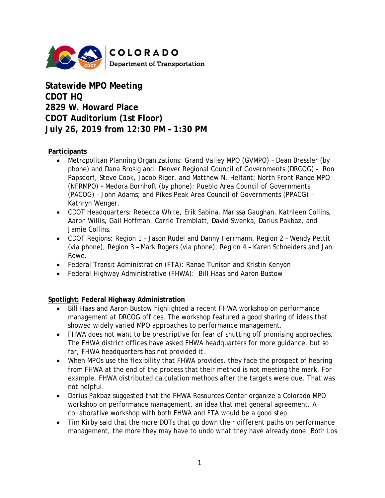

**Statewide MPO Meeting CDOT HQ 2829 W. Howard Place CDOT Auditorium (1st Floor) July 26, 2019 from 12:30 PM – 1:30 PM** 

### **Participants**

- Metropolitan Planning Organizations: Grand Valley MPO (GVMPO) Dean Bressler (by phone) and Dana Brosig and; Denver Regional Council of Governments (DRCOG) - Ron Papsdorf, Steve Cook, Jacob Riger, and Matthew N. Helfant; North Front Range MPO (NFRMPO) – Medora Bornhoft (by phone); Pueblo Area Council of Governments (PACOG) – John Adams; and Pikes Peak Area Council of Governments (PPACG) – Kathryn Wenger.
- CDOT Headquarters: Rebecca White, Erik Sabina, Marissa Gaughan, Kathleen Collins, Aaron Willis, Gail Hoffman, Carrie Tremblatt, David Swenka, Darius Pakbaz, and Jamie Collins.
- CDOT Regions: Region 1 Jason Rudel and Danny Herrmann, Region 2 Wendy Pettit (via phone), Region 3 – Mark Rogers (via phone), Region 4 – Karen Schneiders and Jan Rowe.
- Federal Transit Administration (FTA): Ranae Tunison and Kristin Kenyon
- Federal Highway Administrative (FHWA): Bill Haas and Aaron Bustow

### **Spotlight: Federal Highway Administration**

- Bill Haas and Aaron Bustow highlighted a recent FHWA workshop on performance management at DRCOG offices. The workshop featured a good sharing of ideas that showed widely varied MPO approaches to performance management.
- FHWA does not want to be prescriptive for fear of shutting off promising approaches. The FHWA district offices have asked FHWA headquarters for more guidance, but so far, FHWA headquarters has not provided it.
- When MPOs use the flexibility that FHWA provides, they face the prospect of hearing from FHWA at the end of the process that their method is not meeting the mark. For example, FHWA distributed calculation methods after the targets were due. That was not helpful.
- Darius Pakbaz suggested that the FHWA Resources Center organize a Colorado MPO workshop on performance management, an idea that met general agreement. A collaborative workshop with both FHWA and FTA would be a good step.
- Tim Kirby said that the more DOTs that go down their different paths on performance management, the more they may have to undo what they have already done. Both Los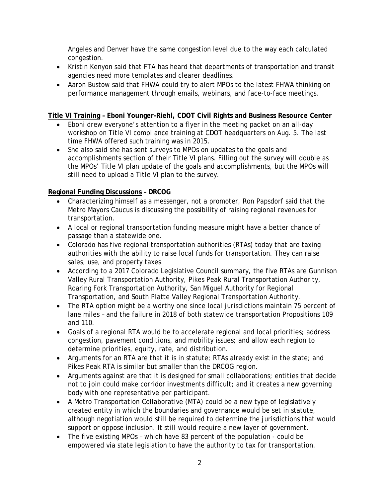Angeles and Denver have the same congestion level due to the way each calculated congestion.

- Kristin Kenyon said that FTA has heard that departments of transportation and transit agencies need more templates and clearer deadlines.
- Aaron Bustow said that FHWA could try to alert MPOs to the latest FHWA thinking on performance management through emails, webinars, and face-to-face meetings.

# **Title VI Training – Eboni Younger-Riehl, CDOT Civil Rights and Business Resource Center**

- Eboni drew everyone's attention to a flyer in the meeting packet on an all-day workshop on Title VI compliance training at CDOT headquarters on Aug. 5. The last time FHWA offered such training was in 2015.
- She also said she has sent surveys to MPOs on updates to the goals and accomplishments section of their Title VI plans. Filling out the survey will double as the MPOs' Title VI plan update of the goals and accomplishments, but the MPOs will still need to upload a Title VI plan to the survey.

## **Regional Funding Discussions – DRCOG**

- Characterizing himself as a messenger, not a promoter, Ron Papsdorf said that the Metro Mayors Caucus is discussing the possibility of raising regional revenues for transportation.
- A local or regional transportation funding measure might have a better chance of passage than a statewide one.
- Colorado has five regional transportation authorities (RTAs) today that are taxing authorities with the ability to raise local funds for transportation. They can raise sales, use, and property taxes.
- According to a 2017 Colorado Legislative Council summary, the five RTAs are Gunnison Valley Rural Transportation Authority, Pikes Peak Rural Transportation Authority, Roaring Fork Transportation Authority, San Miguel Authority for Regional Transportation, and South Platte Valley Regional Transportation Authority.
- The RTA option might be a worthy one since local jurisdictions maintain 75 percent of lane miles – and the failure in 2018 of both statewide transportation Propositions 109 and 110.
- Goals of a regional RTA would be to accelerate regional and local priorities; address congestion, pavement conditions, and mobility issues; and allow each region to determine priorities, equity, rate, and distribution.
- Arguments for an RTA are that it is in statute; RTAs already exist in the state; and Pikes Peak RTA is similar but smaller than the DRCOG region.
- Arguments against are that it is designed for small collaborations; entities that decide not to join could make corridor investments difficult; and it creates a new governing body with one representative per participant.
- A Metro Transportation Collaborative (MTA) could be a new type of legislatively created entity in which the boundaries and governance would be set in statute, although negotiation would still be required to determine the jurisdictions that would support or oppose inclusion. It still would require a new layer of government.
- The five existing MPOs which have 83 percent of the population could be empowered via state legislation to have the authority to tax for transportation.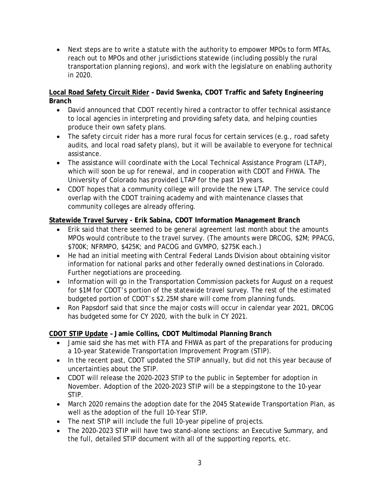• Next steps are to write a statute with the authority to empower MPOs to form MTAs, reach out to MPOs and other jurisdictions statewide (including possibly the rural transportation planning regions), and work with the legislature on enabling authority in 2020.

### **Local Road Safety Circuit Rider – David Swenka, CDOT Traffic and Safety Engineering Branch**

- David announced that CDOT recently hired a contractor to offer technical assistance to local agencies in interpreting and providing safety data, and helping counties produce their own safety plans.
- The safety circuit rider has a more rural focus for certain services (e.g., road safety audits, and local road safety plans), but it will be available to everyone for technical assistance.
- The assistance will coordinate with the Local Technical Assistance Program (LTAP), which will soon be up for renewal, and in cooperation with CDOT and FHWA. The University of Colorado has provided LTAP for the past 19 years.
- CDOT hopes that a community college will provide the new LTAP. The service could overlap with the CDOT training academy and with maintenance classes that community colleges are already offering.

# **Statewide Travel Survey - Erik Sabina, CDOT Information Management Branch**

- Erik said that there seemed to be general agreement last month about the amounts MPOs would contribute to the travel survey. (The amounts were DRCOG, \$2M; PPACG, \$700K; NFRMPO, \$425K; and PACOG and GVMPO, \$275K each.)
- He had an initial meeting with Central Federal Lands Division about obtaining visitor information for national parks and other federally owned destinations in Colorado. Further negotiations are proceeding.
- Information will go in the Transportation Commission packets for August on a request for \$1M for CDOT's portion of the statewide travel survey. The rest of the estimated budgeted portion of CDOT's \$2.25M share will come from planning funds.
- Ron Papsdorf said that since the major costs will occur in calendar year 2021, DRCOG has budgeted some for CY 2020, with the bulk in CY 2021.

# **CDOT STIP Update – Jamie Collins, CDOT Multimodal Planning Branch**

- Jamie said she has met with FTA and FHWA as part of the preparations for producing a 10-year Statewide Transportation Improvement Program (STIP).
- In the recent past, CDOT updated the STIP annually, but did not this year because of uncertainties about the STIP.
- CDOT will release the 2020-2023 STIP to the public in September for adoption in November. Adoption of the 2020-2023 STIP will be a steppingstone to the 10-year STIP.
- March 2020 remains the adoption date for the 2045 Statewide Transportation Plan, as well as the adoption of the full 10-Year STIP.
- The next STIP will include the full 10-year pipeline of projects.
- The 2020-2023 STIP will have two stand-alone sections: an Executive Summary, and the full, detailed STIP document with all of the supporting reports, etc.